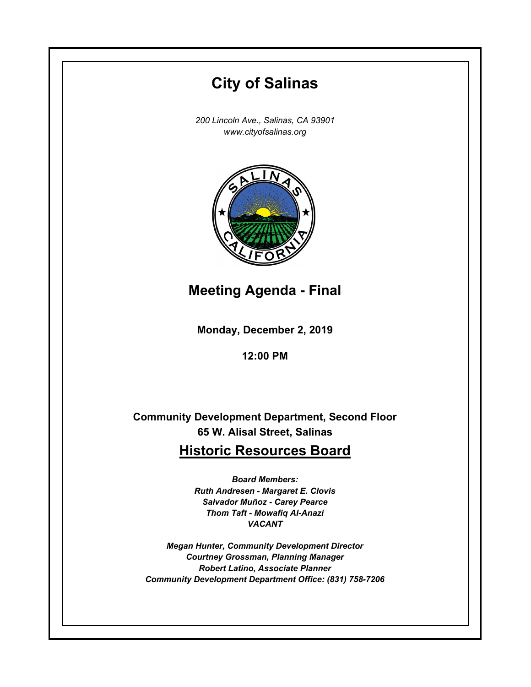# **Monday, December 2, 2019 12:00 PM City of Salinas** *200 Lincoln Ave., Salinas, CA 93901 www.cityofsalinas.org* **Community Development Department, Second Floor 65 W. Alisal Street, Salinas Historic Resources Board** *Board Members: Ruth Andresen - Margaret E. Clovis Salvador Muñoz - Carey Pearce Thom Taft - Mowafiq Al-Anazi VACANT Megan Hunter, Community Development Director Courtney Grossman, Planning Manager Robert Latino, Associate Planner Community Development Department Office: (831) 758-7206* **Meeting Agenda - Final**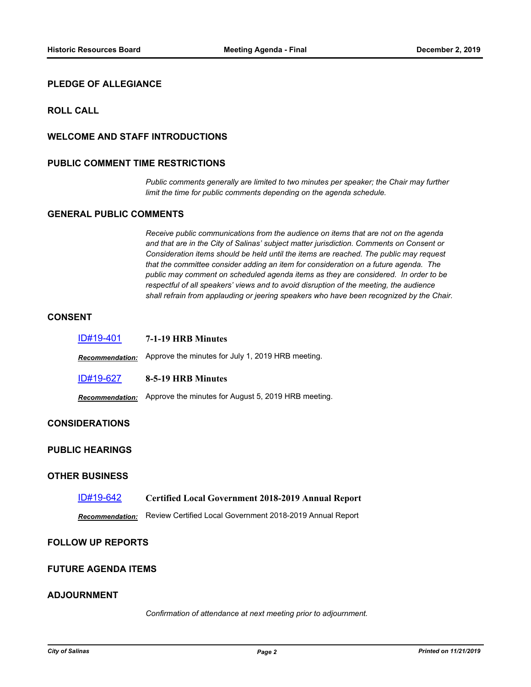# **PLEDGE OF ALLEGIANCE**

# **ROLL CALL**

# **WELCOME AND STAFF INTRODUCTIONS**

## **PUBLIC COMMENT TIME RESTRICTIONS**

*Public comments generally are limited to two minutes per speaker; the Chair may further limit the time for public comments depending on the agenda schedule.*

# **GENERAL PUBLIC COMMENTS**

*Receive public communications from the audience on items that are not on the agenda and that are in the City of Salinas' subject matter jurisdiction. Comments on Consent or Consideration items should be held until the items are reached. The public may request that the committee consider adding an item for consideration on a future agenda. The public may comment on scheduled agenda items as they are considered. In order to be respectful of all speakers' views and to avoid disruption of the meeting, the audience shall refrain from applauding or jeering speakers who have been recognized by the Chair.*

## **CONSENT**

| ID#19-401              | 7-1-19 HRB Minutes                                  |
|------------------------|-----------------------------------------------------|
| <b>Recommendation:</b> | Approve the minutes for July 1, 2019 HRB meeting.   |
| ID#19-627              | 8-5-19 HRB Minutes                                  |
| <b>Recommendation:</b> | Approve the minutes for August 5, 2019 HRB meeting. |

#### **CONSIDERATIONS**

# **PUBLIC HEARINGS**

#### **OTHER BUSINESS**

#### [ID#19-642](http://salinas.legistar.com/gateway.aspx?m=l&id=/matter.aspx?key=4553) **Certified Local Government 2018-2019 Annual Report**

*Recommendation:* Review Certified Local Government 2018-2019 Annual Report

## **FOLLOW UP REPORTS**

# **FUTURE AGENDA ITEMS**

#### **ADJOURNMENT**

*Confirmation of attendance at next meeting prior to adjournment.*